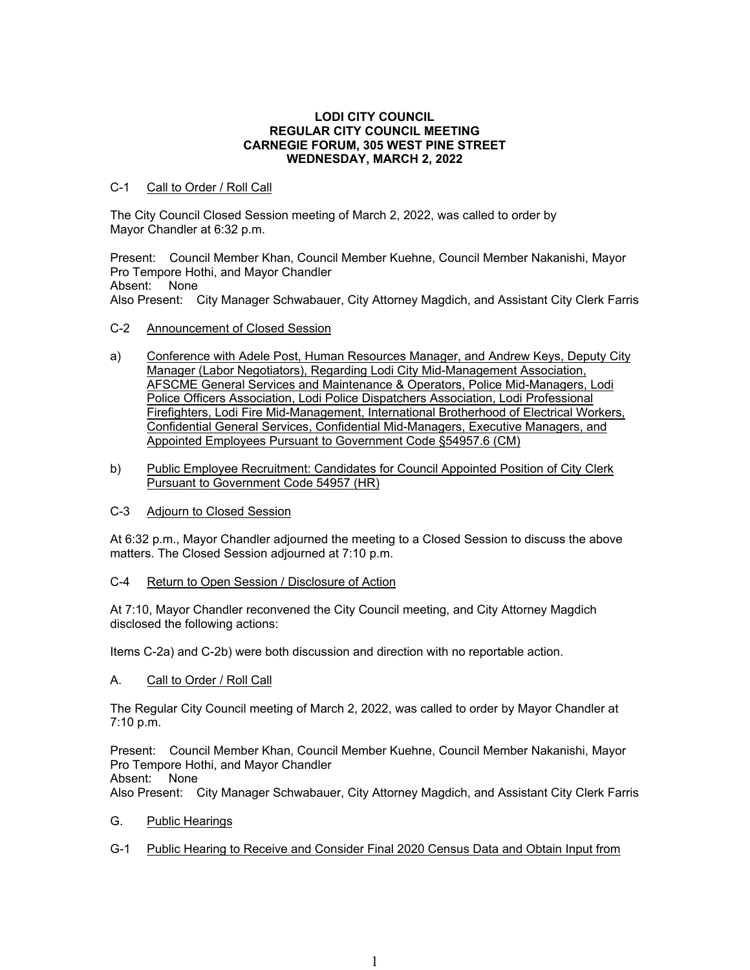# **LODI CITY COUNCIL REGULAR CITY COUNCIL MEETING CARNEGIE FORUM, 305 WEST PINE STREET WEDNESDAY, MARCH 2, 2022**

# C-1 Call to Order / Roll Call

The City Council Closed Session meeting of March 2, 2022, was called to order by Mayor Chandler at 6:32 p.m.

Present: Council Member Khan, Council Member Kuehne, Council Member Nakanishi, Mayor Pro Tempore Hothi, and Mayor Chandler Absent: None Also Present: City Manager Schwabauer, City Attorney Magdich, and Assistant City Clerk Farris

- C-2 Announcement of Closed Session
- a) Conference with Adele Post, Human Resources Manager, and Andrew Keys, Deputy City Manager (Labor Negotiators), Regarding Lodi City Mid-Management Association, AFSCME General Services and Maintenance & Operators, Police Mid-Managers, Lodi Police Officers Association, Lodi Police Dispatchers Association, Lodi Professional Firefighters, Lodi Fire Mid-Management, International Brotherhood of Electrical Workers, Confidential General Services, Confidential Mid-Managers, Executive Managers, and Appointed Employees Pursuant to Government Code §54957.6 (CM)
- b) Public Employee Recruitment: Candidates for Council Appointed Position of City Clerk Pursuant to Government Code 54957 (HR)
- C-3 Adjourn to Closed Session

At 6:32 p.m., Mayor Chandler adjourned the meeting to a Closed Session to discuss the above matters. The Closed Session adjourned at 7:10 p.m.

# C-4 Return to Open Session / Disclosure of Action

At 7:10, Mayor Chandler reconvened the City Council meeting, and City Attorney Magdich disclosed the following actions:

Items C-2a) and C-2b) were both discussion and direction with no reportable action.

A. Call to Order / Roll Call

The Regular City Council meeting of March 2, 2022, was called to order by Mayor Chandler at 7:10 p.m.

Present: Council Member Khan, Council Member Kuehne, Council Member Nakanishi, Mayor Pro Tempore Hothi, and Mayor Chandler Absent: None

Also Present: City Manager Schwabauer, City Attorney Magdich, and Assistant City Clerk Farris

- G. Public Hearings
- G-1 Public Hearing to Receive and Consider Final 2020 Census Data and Obtain Input from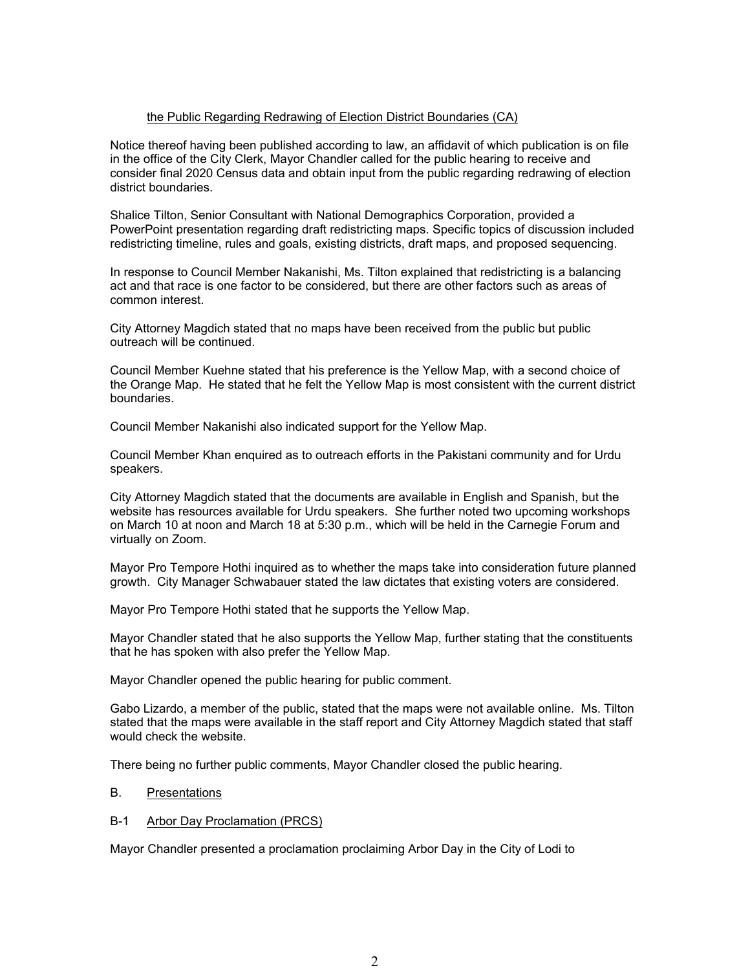# the Public Regarding Redrawing of Election District Boundaries (CA)

Notice thereof having been published according to law, an affidavit of which publication is on file in the office of the City Clerk, Mayor Chandler called for the public hearing to receive and consider final 2020 Census data and obtain input from the public regarding redrawing of election district boundaries.

Shalice Tilton, Senior Consultant with National Demographics Corporation, provided a PowerPoint presentation regarding draft redistricting maps. Specific topics of discussion included redistricting timeline, rules and goals, existing districts, draft maps, and proposed sequencing.

In response to Council Member Nakanishi, Ms. Tilton explained that redistricting is a balancing act and that race is one factor to be considered, but there are other factors such as areas of common interest.

City Attorney Magdich stated that no maps have been received from the public but public outreach will be continued.

Council Member Kuehne stated that his preference is the Yellow Map, with a second choice of the Orange Map. He stated that he felt the Yellow Map is most consistent with the current district boundaries.

Council Member Nakanishi also indicated support for the Yellow Map.

Council Member Khan enquired as to outreach efforts in the Pakistani community and for Urdu speakers.

City Attorney Magdich stated that the documents are available in English and Spanish, but the website has resources available for Urdu speakers. She further noted two upcoming workshops on March 10 at noon and March 18 at 5:30 p.m., which will be held in the Carnegie Forum and virtually on Zoom.

Mayor Pro Tempore Hothi inquired as to whether the maps take into consideration future planned growth. City Manager Schwabauer stated the law dictates that existing voters are considered.

Mayor Pro Tempore Hothi stated that he supports the Yellow Map.

Mayor Chandler stated that he also supports the Yellow Map, further stating that the constituents that he has spoken with also prefer the Yellow Map.

Mayor Chandler opened the public hearing for public comment.

Gabo Lizardo, a member of the public, stated that the maps were not available online. Ms. Tilton stated that the maps were available in the staff report and City Attorney Magdich stated that staff would check the website.

There being no further public comments, Mayor Chandler closed the public hearing.

# B. Presentations

# B-1 Arbor Day Proclamation (PRCS)

Mayor Chandler presented a proclamation proclaiming Arbor Day in the City of Lodi to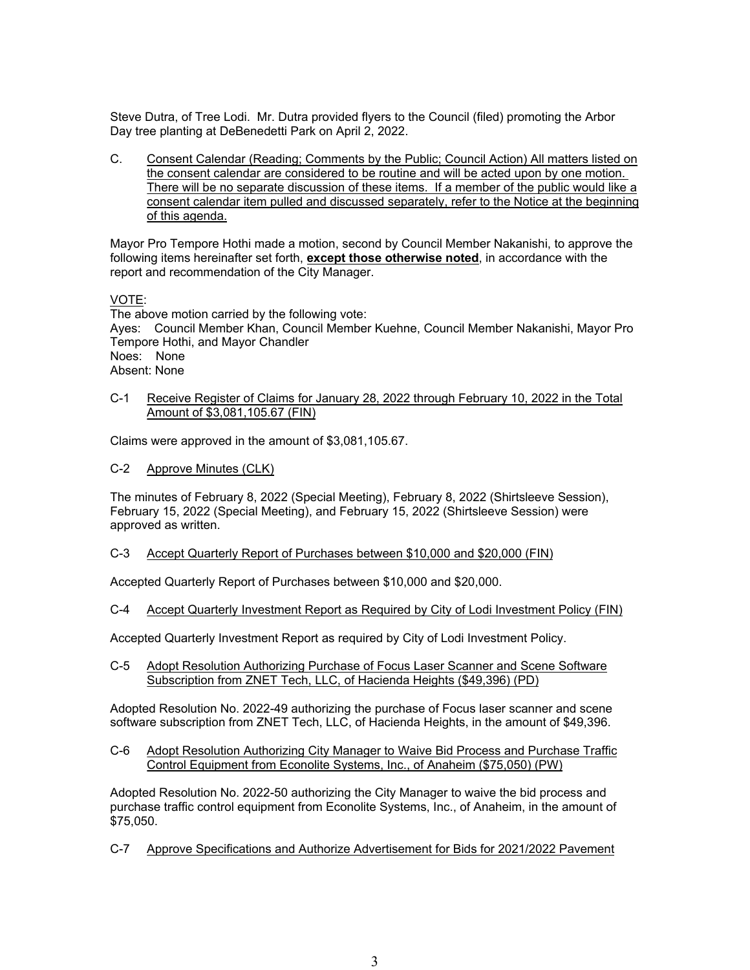Steve Dutra, of Tree Lodi. Mr. Dutra provided flyers to the Council (filed) promoting the Arbor Day tree planting at DeBenedetti Park on April 2, 2022.

C. Consent Calendar (Reading; Comments by the Public; Council Action) All matters listed on the consent calendar are considered to be routine and will be acted upon by one motion. There will be no separate discussion of these items. If a member of the public would like a consent calendar item pulled and discussed separately, refer to the Notice at the beginning of this agenda.

Mayor Pro Tempore Hothi made a motion, second by Council Member Nakanishi, to approve the following items hereinafter set forth, **except those otherwise noted**, in accordance with the report and recommendation of the City Manager.

# VOTE:

The above motion carried by the following vote: Ayes: Council Member Khan, Council Member Kuehne, Council Member Nakanishi, Mayor Pro Tempore Hothi, and Mayor Chandler Noes: None Absent: None

C-1 Receive Register of Claims for January 28, 2022 through February 10, 2022 in the Total Amount of \$3,081,105.67 (FIN)

Claims were approved in the amount of \$3,081,105.67.

C-2 Approve Minutes (CLK)

The minutes of February 8, 2022 (Special Meeting), February 8, 2022 (Shirtsleeve Session), February 15, 2022 (Special Meeting), and February 15, 2022 (Shirtsleeve Session) were approved as written.

# C-3 Accept Quarterly Report of Purchases between \$10,000 and \$20,000 (FIN)

Accepted Quarterly Report of Purchases between \$10,000 and \$20,000.

C-4 Accept Quarterly Investment Report as Required by City of Lodi Investment Policy (FIN)

Accepted Quarterly Investment Report as required by City of Lodi Investment Policy.

C-5 Adopt Resolution Authorizing Purchase of Focus Laser Scanner and Scene Software Subscription from ZNET Tech, LLC, of Hacienda Heights (\$49,396) (PD)

Adopted Resolution No. 2022-49 authorizing the purchase of Focus laser scanner and scene software subscription from ZNET Tech, LLC, of Hacienda Heights, in the amount of \$49,396.

# C-6 Adopt Resolution Authorizing City Manager to Waive Bid Process and Purchase Traffic Control Equipment from Econolite Systems, Inc., of Anaheim (\$75,050) (PW)

Adopted Resolution No. 2022-50 authorizing the City Manager to waive the bid process and purchase traffic control equipment from Econolite Systems, Inc., of Anaheim, in the amount of \$75,050.

C-7 Approve Specifications and Authorize Advertisement for Bids for 2021/2022 Pavement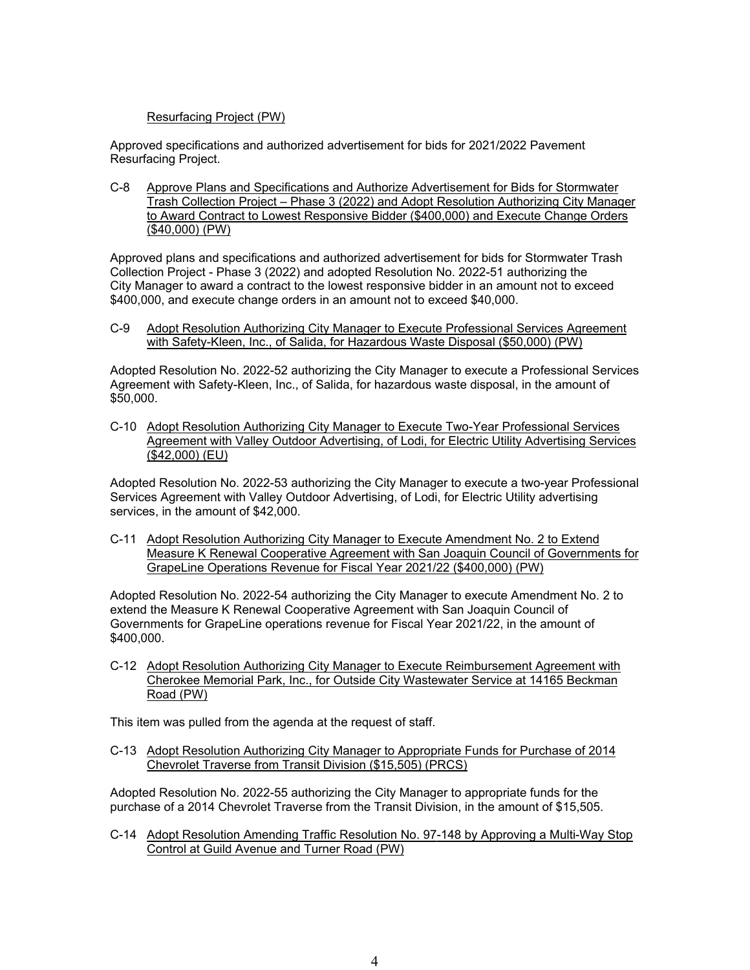# Resurfacing Project (PW)

Approved specifications and authorized advertisement for bids for 2021/2022 Pavement Resurfacing Project.

C-8 Approve Plans and Specifications and Authorize Advertisement for Bids for Stormwater Trash Collection Project – Phase 3 (2022) and Adopt Resolution Authorizing City Manager to Award Contract to Lowest Responsive Bidder (\$400,000) and Execute Change Orders (\$40,000) (PW)

Approved plans and specifications and authorized advertisement for bids for Stormwater Trash Collection Project - Phase 3 (2022) and adopted Resolution No. 2022-51 authorizing the City Manager to award a contract to the lowest responsive bidder in an amount not to exceed \$400,000, and execute change orders in an amount not to exceed \$40,000.

C-9 Adopt Resolution Authorizing City Manager to Execute Professional Services Agreement with Safety-Kleen, Inc., of Salida, for Hazardous Waste Disposal (\$50,000) (PW)

Adopted Resolution No. 2022-52 authorizing the City Manager to execute a Professional Services Agreement with Safety-Kleen, Inc., of Salida, for hazardous waste disposal, in the amount of \$50,000.

C-10 Adopt Resolution Authorizing City Manager to Execute Two-Year Professional Services Agreement with Valley Outdoor Advertising, of Lodi, for Electric Utility Advertising Services (\$42,000) (EU)

Adopted Resolution No. 2022-53 authorizing the City Manager to execute a two-year Professional Services Agreement with Valley Outdoor Advertising, of Lodi, for Electric Utility advertising services, in the amount of \$42,000.

C-11 Adopt Resolution Authorizing City Manager to Execute Amendment No. 2 to Extend Measure K Renewal Cooperative Agreement with San Joaquin Council of Governments for GrapeLine Operations Revenue for Fiscal Year 2021/22 (\$400,000) (PW)

Adopted Resolution No. 2022-54 authorizing the City Manager to execute Amendment No. 2 to extend the Measure K Renewal Cooperative Agreement with San Joaquin Council of Governments for GrapeLine operations revenue for Fiscal Year 2021/22, in the amount of \$400,000.

C-12 Adopt Resolution Authorizing City Manager to Execute Reimbursement Agreement with Cherokee Memorial Park, Inc., for Outside City Wastewater Service at 14165 Beckman Road (PW)

This item was pulled from the agenda at the request of staff.

C-13 Adopt Resolution Authorizing City Manager to Appropriate Funds for Purchase of 2014 Chevrolet Traverse from Transit Division (\$15,505) (PRCS)

Adopted Resolution No. 2022-55 authorizing the City Manager to appropriate funds for the purchase of a 2014 Chevrolet Traverse from the Transit Division, in the amount of \$15,505.

C-14 Adopt Resolution Amending Traffic Resolution No. 97-148 by Approving a Multi-Way Stop Control at Guild Avenue and Turner Road (PW)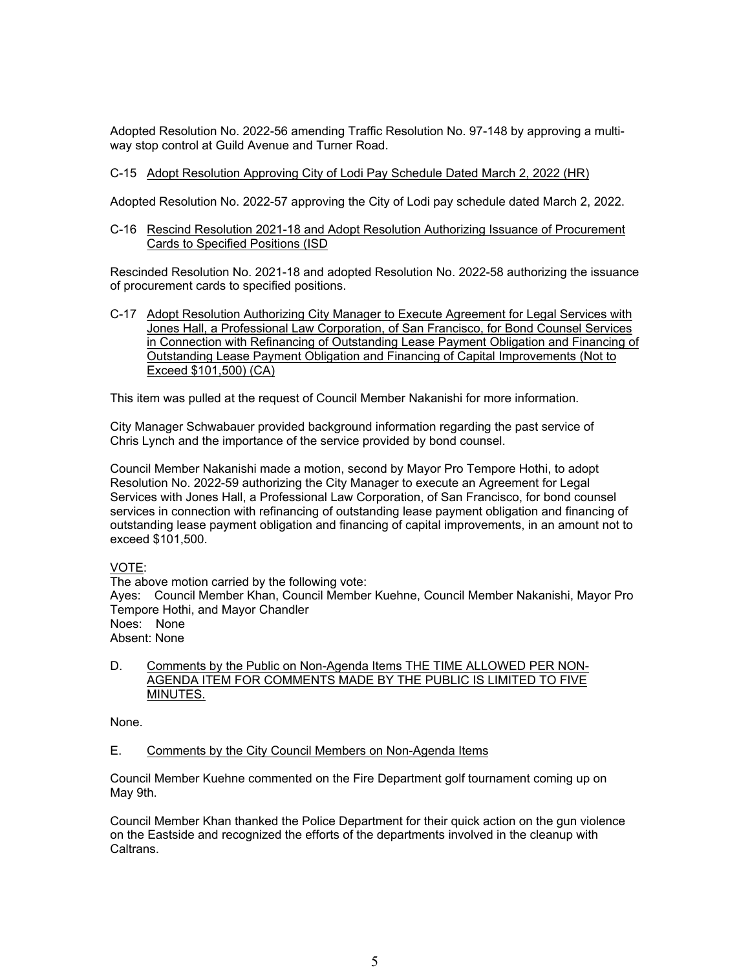Adopted Resolution No. 2022-56 amending Traffic Resolution No. 97-148 by approving a multiway stop control at Guild Avenue and Turner Road.

# C-15 Adopt Resolution Approving City of Lodi Pay Schedule Dated March 2, 2022 (HR)

Adopted Resolution No. 2022-57 approving the City of Lodi pay schedule dated March 2, 2022.

C-16 Rescind Resolution 2021-18 and Adopt Resolution Authorizing Issuance of Procurement Cards to Specified Positions (ISD

Rescinded Resolution No. 2021-18 and adopted Resolution No. 2022-58 authorizing the issuance of procurement cards to specified positions.

C-17 Adopt Resolution Authorizing City Manager to Execute Agreement for Legal Services with Jones Hall, a Professional Law Corporation, of San Francisco, for Bond Counsel Services in Connection with Refinancing of Outstanding Lease Payment Obligation and Financing of Outstanding Lease Payment Obligation and Financing of Capital Improvements (Not to Exceed \$101,500) (CA)

This item was pulled at the request of Council Member Nakanishi for more information.

City Manager Schwabauer provided background information regarding the past service of Chris Lynch and the importance of the service provided by bond counsel.

Council Member Nakanishi made a motion, second by Mayor Pro Tempore Hothi, to adopt Resolution No. 2022-59 authorizing the City Manager to execute an Agreement for Legal Services with Jones Hall, a Professional Law Corporation, of San Francisco, for bond counsel services in connection with refinancing of outstanding lease payment obligation and financing of outstanding lease payment obligation and financing of capital improvements, in an amount not to exceed \$101,500.

# VOTE:

The above motion carried by the following vote: Ayes: Council Member Khan, Council Member Kuehne, Council Member Nakanishi, Mayor Pro Tempore Hothi, and Mayor Chandler Noes: None Absent: None

D. Comments by the Public on Non-Agenda Items THE TIME ALLOWED PER NON-AGENDA ITEM FOR COMMENTS MADE BY THE PUBLIC IS LIMITED TO FIVE MINUTES.

None.

E. Comments by the City Council Members on Non-Agenda Items

Council Member Kuehne commented on the Fire Department golf tournament coming up on May 9th.

Council Member Khan thanked the Police Department for their quick action on the gun violence on the Eastside and recognized the efforts of the departments involved in the cleanup with Caltrans.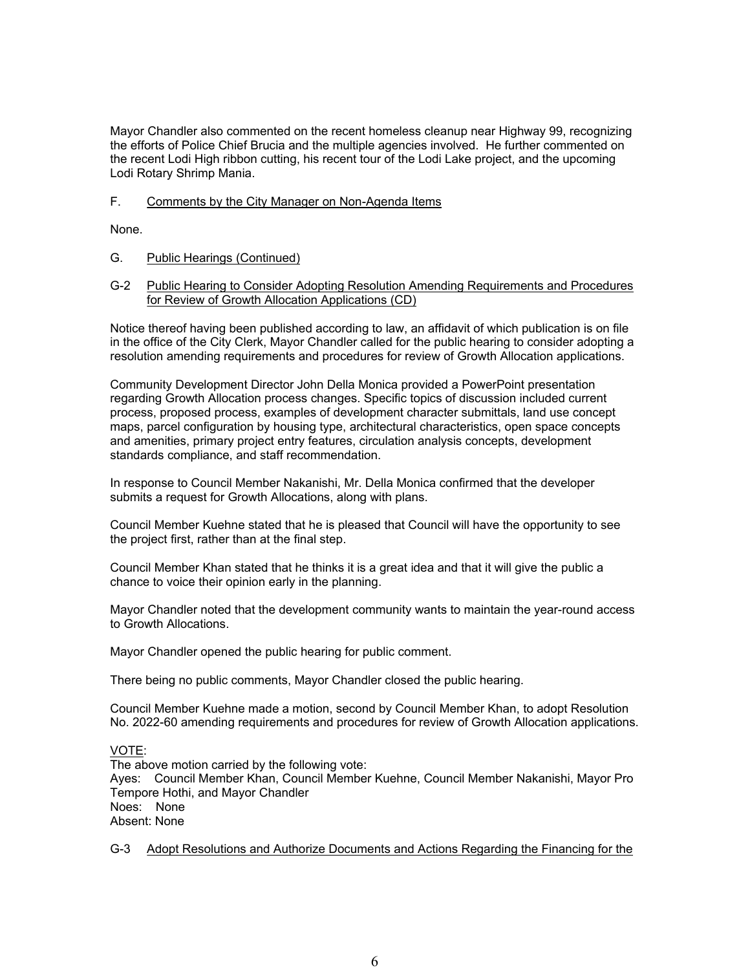Mayor Chandler also commented on the recent homeless cleanup near Highway 99, recognizing the efforts of Police Chief Brucia and the multiple agencies involved. He further commented on the recent Lodi High ribbon cutting, his recent tour of the Lodi Lake project, and the upcoming Lodi Rotary Shrimp Mania.

# F. Comments by the City Manager on Non-Agenda Items

None.

- G. Public Hearings (Continued)
- G-2 Public Hearing to Consider Adopting Resolution Amending Requirements and Procedures for Review of Growth Allocation Applications (CD)

Notice thereof having been published according to law, an affidavit of which publication is on file in the office of the City Clerk, Mayor Chandler called for the public hearing to consider adopting a resolution amending requirements and procedures for review of Growth Allocation applications.

Community Development Director John Della Monica provided a PowerPoint presentation regarding Growth Allocation process changes. Specific topics of discussion included current process, proposed process, examples of development character submittals, land use concept maps, parcel configuration by housing type, architectural characteristics, open space concepts and amenities, primary project entry features, circulation analysis concepts, development standards compliance, and staff recommendation.

In response to Council Member Nakanishi, Mr. Della Monica confirmed that the developer submits a request for Growth Allocations, along with plans.

Council Member Kuehne stated that he is pleased that Council will have the opportunity to see the project first, rather than at the final step.

Council Member Khan stated that he thinks it is a great idea and that it will give the public a chance to voice their opinion early in the planning.

Mayor Chandler noted that the development community wants to maintain the year-round access to Growth Allocations.

Mayor Chandler opened the public hearing for public comment.

There being no public comments, Mayor Chandler closed the public hearing.

Council Member Kuehne made a motion, second by Council Member Khan, to adopt Resolution No. 2022-60 amending requirements and procedures for review of Growth Allocation applications.

VOTE:

The above motion carried by the following vote: Ayes: Council Member Khan, Council Member Kuehne, Council Member Nakanishi, Mayor Pro Tempore Hothi, and Mayor Chandler Noes: None Absent: None

# G-3 Adopt Resolutions and Authorize Documents and Actions Regarding the Financing for the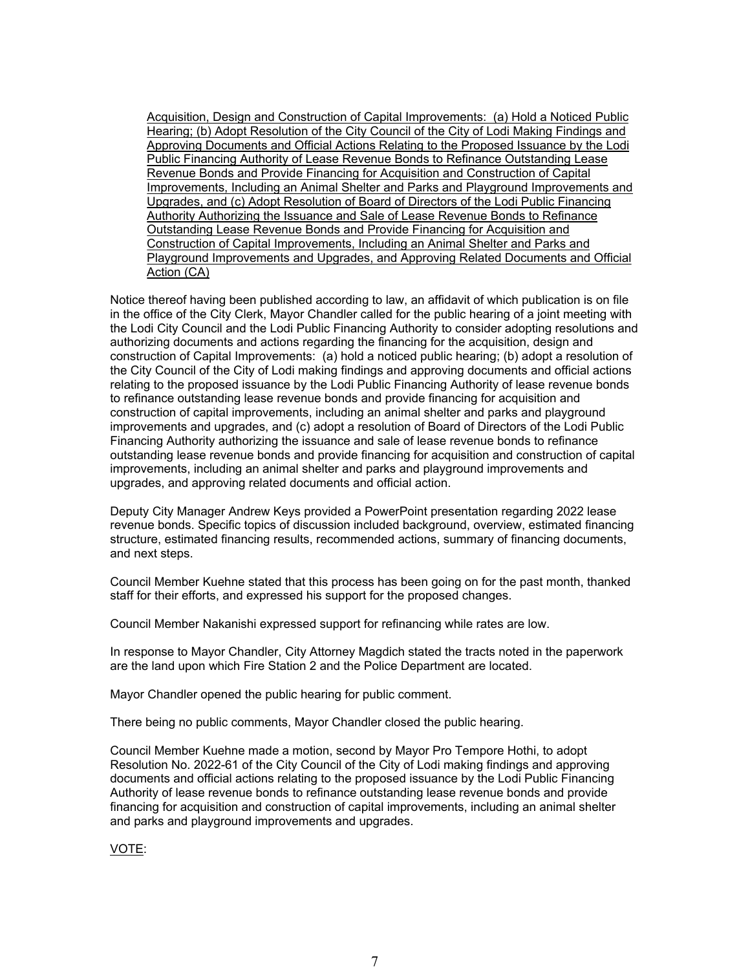Acquisition, Design and Construction of Capital Improvements: (a) Hold a Noticed Public Hearing; (b) Adopt Resolution of the City Council of the City of Lodi Making Findings and Approving Documents and Official Actions Relating to the Proposed Issuance by the Lodi Public Financing Authority of Lease Revenue Bonds to Refinance Outstanding Lease Revenue Bonds and Provide Financing for Acquisition and Construction of Capital Improvements, Including an Animal Shelter and Parks and Playground Improvements and Upgrades, and (c) Adopt Resolution of Board of Directors of the Lodi Public Financing Authority Authorizing the Issuance and Sale of Lease Revenue Bonds to Refinance Outstanding Lease Revenue Bonds and Provide Financing for Acquisition and Construction of Capital Improvements, Including an Animal Shelter and Parks and Playground Improvements and Upgrades, and Approving Related Documents and Official Action (CA)

Notice thereof having been published according to law, an affidavit of which publication is on file in the office of the City Clerk, Mayor Chandler called for the public hearing of a joint meeting with the Lodi City Council and the Lodi Public Financing Authority to consider adopting resolutions and authorizing documents and actions regarding the financing for the acquisition, design and construction of Capital Improvements: (a) hold a noticed public hearing; (b) adopt a resolution of the City Council of the City of Lodi making findings and approving documents and official actions relating to the proposed issuance by the Lodi Public Financing Authority of lease revenue bonds to refinance outstanding lease revenue bonds and provide financing for acquisition and construction of capital improvements, including an animal shelter and parks and playground improvements and upgrades, and (c) adopt a resolution of Board of Directors of the Lodi Public Financing Authority authorizing the issuance and sale of lease revenue bonds to refinance outstanding lease revenue bonds and provide financing for acquisition and construction of capital improvements, including an animal shelter and parks and playground improvements and upgrades, and approving related documents and official action.

Deputy City Manager Andrew Keys provided a PowerPoint presentation regarding 2022 lease revenue bonds. Specific topics of discussion included background, overview, estimated financing structure, estimated financing results, recommended actions, summary of financing documents, and next steps.

Council Member Kuehne stated that this process has been going on for the past month, thanked staff for their efforts, and expressed his support for the proposed changes.

Council Member Nakanishi expressed support for refinancing while rates are low.

In response to Mayor Chandler, City Attorney Magdich stated the tracts noted in the paperwork are the land upon which Fire Station 2 and the Police Department are located.

Mayor Chandler opened the public hearing for public comment.

There being no public comments, Mayor Chandler closed the public hearing.

Council Member Kuehne made a motion, second by Mayor Pro Tempore Hothi, to adopt Resolution No. 2022-61 of the City Council of the City of Lodi making findings and approving documents and official actions relating to the proposed issuance by the Lodi Public Financing Authority of lease revenue bonds to refinance outstanding lease revenue bonds and provide financing for acquisition and construction of capital improvements, including an animal shelter and parks and playground improvements and upgrades.

VOTE: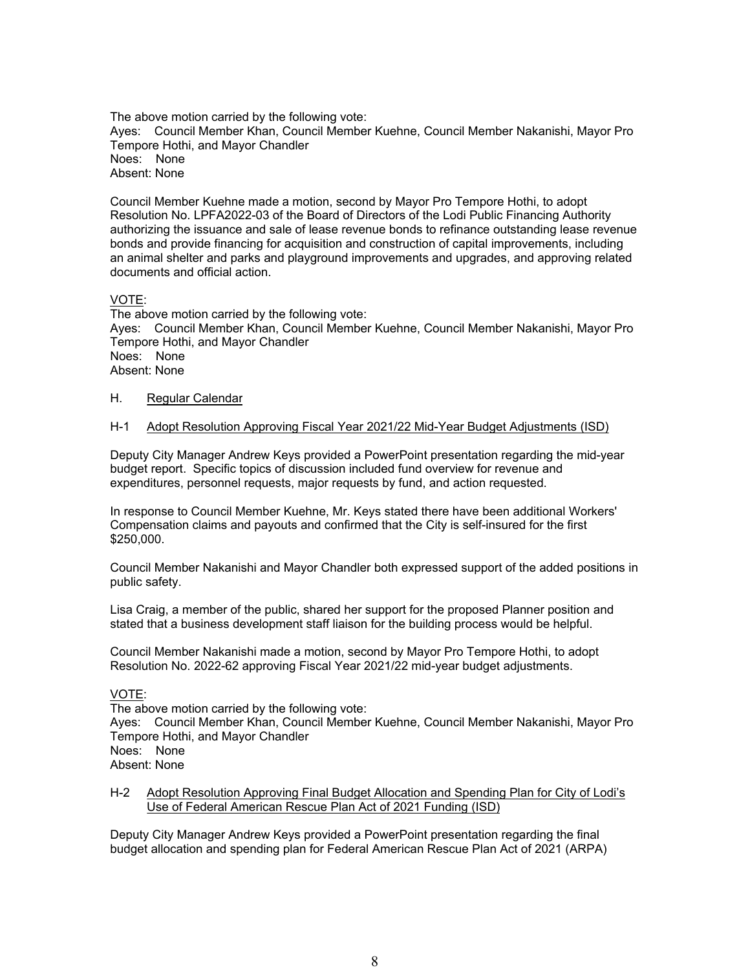The above motion carried by the following vote: Ayes: Council Member Khan, Council Member Kuehne, Council Member Nakanishi, Mayor Pro Tempore Hothi, and Mayor Chandler Noes: None Absent: None

Council Member Kuehne made a motion, second by Mayor Pro Tempore Hothi, to adopt Resolution No. LPFA2022-03 of the Board of Directors of the Lodi Public Financing Authority authorizing the issuance and sale of lease revenue bonds to refinance outstanding lease revenue bonds and provide financing for acquisition and construction of capital improvements, including an animal shelter and parks and playground improvements and upgrades, and approving related documents and official action.

# VOTE:

The above motion carried by the following vote: Ayes: Council Member Khan, Council Member Kuehne, Council Member Nakanishi, Mayor Pro Tempore Hothi, and Mayor Chandler Noes: None Absent: None

H. Regular Calendar

#### H-1 Adopt Resolution Approving Fiscal Year 2021/22 Mid-Year Budget Adjustments (ISD)

Deputy City Manager Andrew Keys provided a PowerPoint presentation regarding the mid-year budget report. Specific topics of discussion included fund overview for revenue and expenditures, personnel requests, major requests by fund, and action requested.

In response to Council Member Kuehne, Mr. Keys stated there have been additional Workers' Compensation claims and payouts and confirmed that the City is self-insured for the first \$250,000.

Council Member Nakanishi and Mayor Chandler both expressed support of the added positions in public safety.

Lisa Craig, a member of the public, shared her support for the proposed Planner position and stated that a business development staff liaison for the building process would be helpful.

Council Member Nakanishi made a motion, second by Mayor Pro Tempore Hothi, to adopt Resolution No. 2022-62 approving Fiscal Year 2021/22 mid-year budget adjustments.

# VOTE:

The above motion carried by the following vote: Ayes: Council Member Khan, Council Member Kuehne, Council Member Nakanishi, Mayor Pro Tempore Hothi, and Mayor Chandler Noes: None Absent: None

H-2 Adopt Resolution Approving Final Budget Allocation and Spending Plan for City of Lodi's Use of Federal American Rescue Plan Act of 2021 Funding (ISD)

Deputy City Manager Andrew Keys provided a PowerPoint presentation regarding the final budget allocation and spending plan for Federal American Rescue Plan Act of 2021 (ARPA)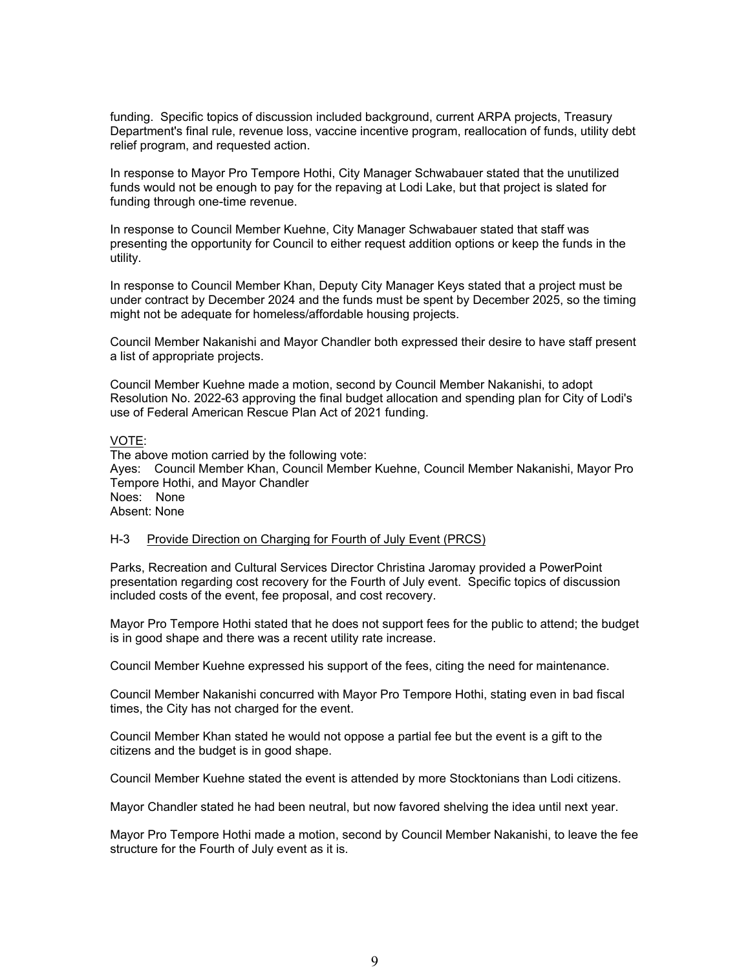funding. Specific topics of discussion included background, current ARPA projects, Treasury Department's final rule, revenue loss, vaccine incentive program, reallocation of funds, utility debt relief program, and requested action.

In response to Mayor Pro Tempore Hothi, City Manager Schwabauer stated that the unutilized funds would not be enough to pay for the repaving at Lodi Lake, but that project is slated for funding through one-time revenue.

In response to Council Member Kuehne, City Manager Schwabauer stated that staff was presenting the opportunity for Council to either request addition options or keep the funds in the utility.

In response to Council Member Khan, Deputy City Manager Keys stated that a project must be under contract by December 2024 and the funds must be spent by December 2025, so the timing might not be adequate for homeless/affordable housing projects.

Council Member Nakanishi and Mayor Chandler both expressed their desire to have staff present a list of appropriate projects.

Council Member Kuehne made a motion, second by Council Member Nakanishi, to adopt Resolution No. 2022-63 approving the final budget allocation and spending plan for City of Lodi's use of Federal American Rescue Plan Act of 2021 funding.

#### VOTE:

The above motion carried by the following vote: Ayes: Council Member Khan, Council Member Kuehne, Council Member Nakanishi, Mayor Pro Tempore Hothi, and Mayor Chandler Noes: None Absent: None

#### H-3 Provide Direction on Charging for Fourth of July Event (PRCS)

Parks, Recreation and Cultural Services Director Christina Jaromay provided a PowerPoint presentation regarding cost recovery for the Fourth of July event. Specific topics of discussion included costs of the event, fee proposal, and cost recovery.

Mayor Pro Tempore Hothi stated that he does not support fees for the public to attend; the budget is in good shape and there was a recent utility rate increase.

Council Member Kuehne expressed his support of the fees, citing the need for maintenance.

Council Member Nakanishi concurred with Mayor Pro Tempore Hothi, stating even in bad fiscal times, the City has not charged for the event.

Council Member Khan stated he would not oppose a partial fee but the event is a gift to the citizens and the budget is in good shape.

Council Member Kuehne stated the event is attended by more Stocktonians than Lodi citizens.

Mayor Chandler stated he had been neutral, but now favored shelving the idea until next year.

Mayor Pro Tempore Hothi made a motion, second by Council Member Nakanishi, to leave the fee structure for the Fourth of July event as it is.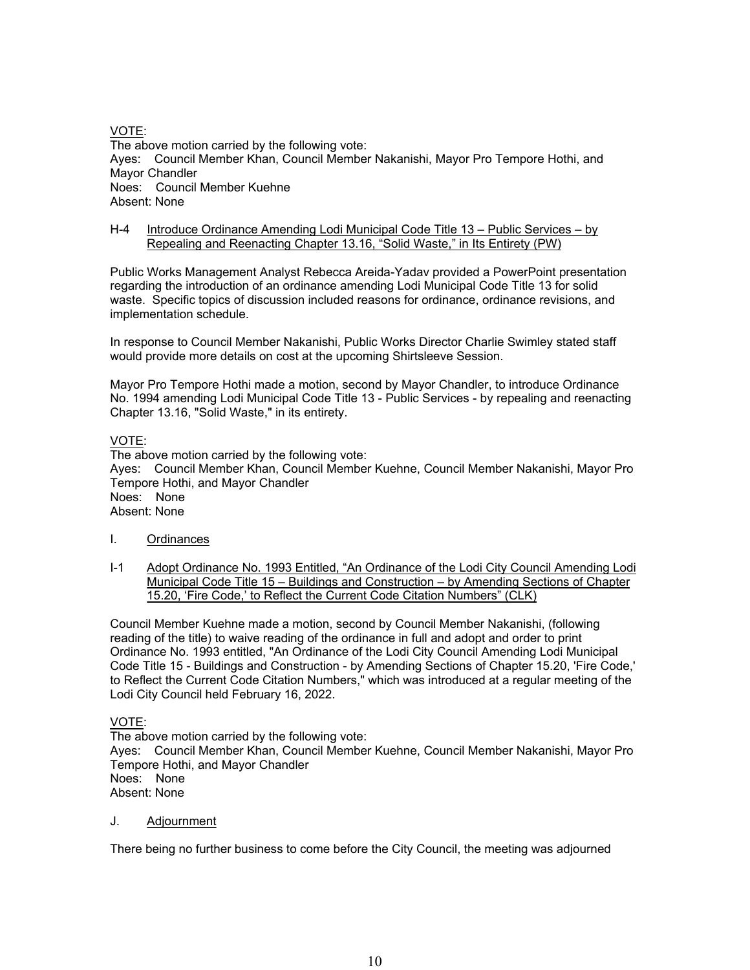VOTE: The above motion carried by the following vote: Ayes: Council Member Khan, Council Member Nakanishi, Mayor Pro Tempore Hothi, and Mayor Chandler Noes: Council Member Kuehne Absent: None

#### H-4 Introduce Ordinance Amending Lodi Municipal Code Title 13 – Public Services – by Repealing and Reenacting Chapter 13.16, "Solid Waste," in Its Entirety (PW)

Public Works Management Analyst Rebecca Areida-Yadav provided a PowerPoint presentation regarding the introduction of an ordinance amending Lodi Municipal Code Title 13 for solid waste. Specific topics of discussion included reasons for ordinance, ordinance revisions, and implementation schedule.

In response to Council Member Nakanishi, Public Works Director Charlie Swimley stated staff would provide more details on cost at the upcoming Shirtsleeve Session.

Mayor Pro Tempore Hothi made a motion, second by Mayor Chandler, to introduce Ordinance No. 1994 amending Lodi Municipal Code Title 13 - Public Services - by repealing and reenacting Chapter 13.16, "Solid Waste," in its entirety.

# VOTE:

The above motion carried by the following vote: Ayes: Council Member Khan, Council Member Kuehne, Council Member Nakanishi, Mayor Pro Tempore Hothi, and Mayor Chandler Noes: None Absent: None

- I. Ordinances
- I-1 Adopt Ordinance No. 1993 Entitled, "An Ordinance of the Lodi City Council Amending Lodi Municipal Code Title 15 – Buildings and Construction – by Amending Sections of Chapter 15.20, 'Fire Code,' to Reflect the Current Code Citation Numbers" (CLK)

Council Member Kuehne made a motion, second by Council Member Nakanishi, (following reading of the title) to waive reading of the ordinance in full and adopt and order to print Ordinance No. 1993 entitled, "An Ordinance of the Lodi City Council Amending Lodi Municipal Code Title 15 - Buildings and Construction - by Amending Sections of Chapter 15.20, 'Fire Code,' to Reflect the Current Code Citation Numbers," which was introduced at a regular meeting of the Lodi City Council held February 16, 2022.

VOTE:

The above motion carried by the following vote: Ayes: Council Member Khan, Council Member Kuehne, Council Member Nakanishi, Mayor Pro Tempore Hothi, and Mayor Chandler Noes: None Absent: None

# J. Adjournment

There being no further business to come before the City Council, the meeting was adjourned